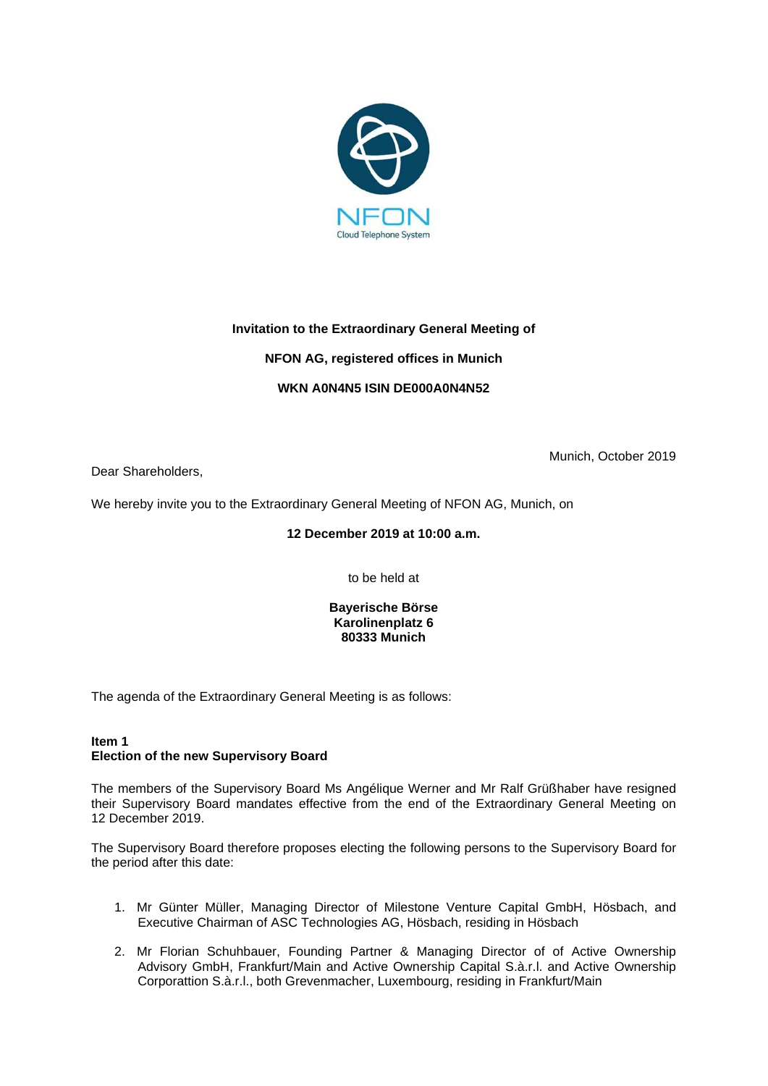

# **Invitation to the Extraordinary General Meeting of**

# **NFON AG, registered offices in Munich**

# **WKN A0N4N5 ISIN DE000A0N4N52**

Dear Shareholders,

Munich, October 2019

We hereby invite you to the Extraordinary General Meeting of NFON AG, Munich, on

## **12 December 2019 at 10:00 a.m.**

to be held at

**Bayerische Börse Karolinenplatz 6 80333 Munich**

The agenda of the Extraordinary General Meeting is as follows:

## **Item 1 Election of the new Supervisory Board**

The members of the Supervisory Board Ms Angélique Werner and Mr Ralf Grüßhaber have resigned their Supervisory Board mandates effective from the end of the Extraordinary General Meeting on 12 December 2019.

The Supervisory Board therefore proposes electing the following persons to the Supervisory Board for the period after this date:

- 1. Mr Günter Müller, Managing Director of Milestone Venture Capital GmbH, Hösbach, and Executive Chairman of ASC Technologies AG, Hösbach, residing in Hösbach
- 2. Mr Florian Schuhbauer, Founding Partner & Managing Director of of Active Ownership Advisory GmbH, Frankfurt/Main and Active Ownership Capital S.à.r.l. and Active Ownership Corporattion S.à.r.l., both Grevenmacher, Luxembourg, residing in Frankfurt/Main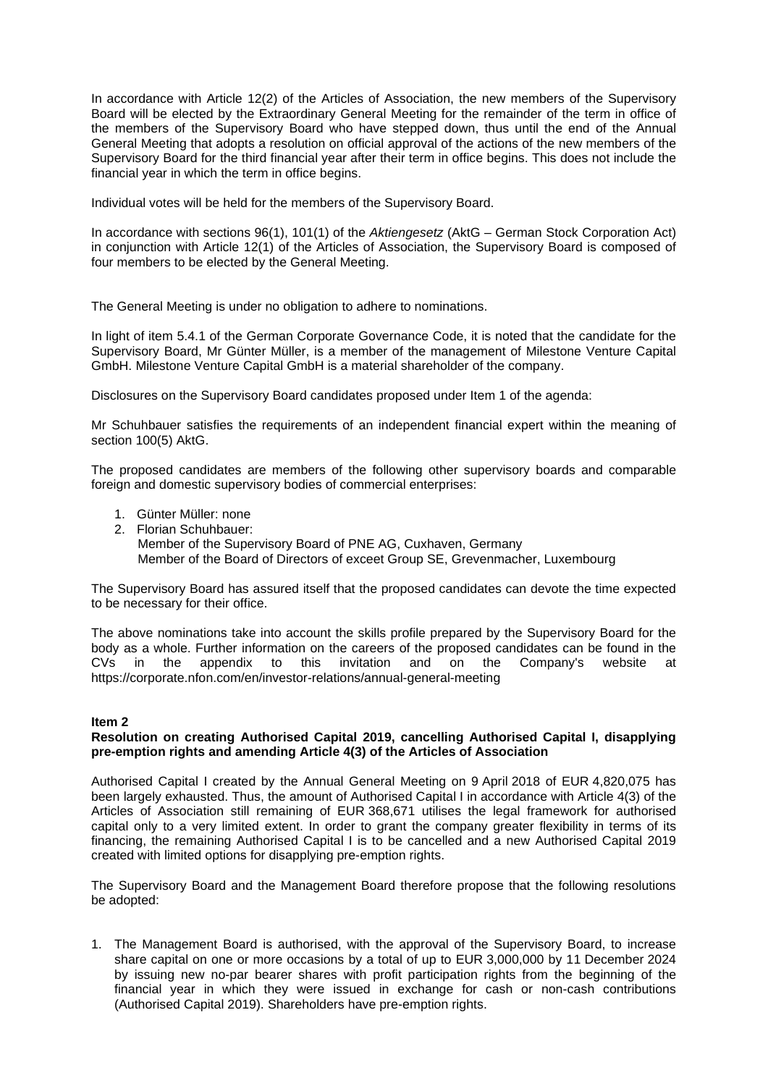In accordance with Article 12(2) of the Articles of Association, the new members of the Supervisory Board will be elected by the Extraordinary General Meeting for the remainder of the term in office of the members of the Supervisory Board who have stepped down, thus until the end of the Annual General Meeting that adopts a resolution on official approval of the actions of the new members of the Supervisory Board for the third financial year after their term in office begins. This does not include the financial year in which the term in office begins.

Individual votes will be held for the members of the Supervisory Board.

In accordance with sections 96(1), 101(1) of the *Aktiengesetz* (AktG – German Stock Corporation Act) in conjunction with Article 12(1) of the Articles of Association, the Supervisory Board is composed of four members to be elected by the General Meeting.

The General Meeting is under no obligation to adhere to nominations.

In light of item 5.4.1 of the German Corporate Governance Code, it is noted that the candidate for the Supervisory Board, Mr Günter Müller, is a member of the management of Milestone Venture Capital GmbH. Milestone Venture Capital GmbH is a material shareholder of the company.

Disclosures on the Supervisory Board candidates proposed under Item 1 of the agenda:

Mr Schuhbauer satisfies the requirements of an independent financial expert within the meaning of section 100(5) AktG.

The proposed candidates are members of the following other supervisory boards and comparable foreign and domestic supervisory bodies of commercial enterprises:

- 1. Günter Müller: none
- 2. Florian Schuhbauer: Member of the Supervisory Board of PNE AG, Cuxhaven, Germany Member of the Board of Directors of exceet Group SE, Grevenmacher, Luxembourg

The Supervisory Board has assured itself that the proposed candidates can devote the time expected to be necessary for their office.

The above nominations take into account the skills profile prepared by the Supervisory Board for the body as a whole. Further information on the careers of the proposed candidates can be found in the CVs in the appendix to this invitation and on the Company's website at https://corporate.nfon.com/en/investor-relations/annual-general-meeting

### **Item 2**

### **Resolution on creating Authorised Capital 2019, cancelling Authorised Capital I, disapplying pre-emption rights and amending Article 4(3) of the Articles of Association**

Authorised Capital I created by the Annual General Meeting on 9 April 2018 of EUR 4,820,075 has been largely exhausted. Thus, the amount of Authorised Capital I in accordance with Article 4(3) of the Articles of Association still remaining of EUR 368,671 utilises the legal framework for authorised capital only to a very limited extent. In order to grant the company greater flexibility in terms of its financing, the remaining Authorised Capital I is to be cancelled and a new Authorised Capital 2019 created with limited options for disapplying pre-emption rights.

The Supervisory Board and the Management Board therefore propose that the following resolutions be adopted:

1. The Management Board is authorised, with the approval of the Supervisory Board, to increase share capital on one or more occasions by a total of up to EUR 3,000,000 by 11 December 2024 by issuing new no-par bearer shares with profit participation rights from the beginning of the financial year in which they were issued in exchange for cash or non-cash contributions (Authorised Capital 2019). Shareholders have pre-emption rights.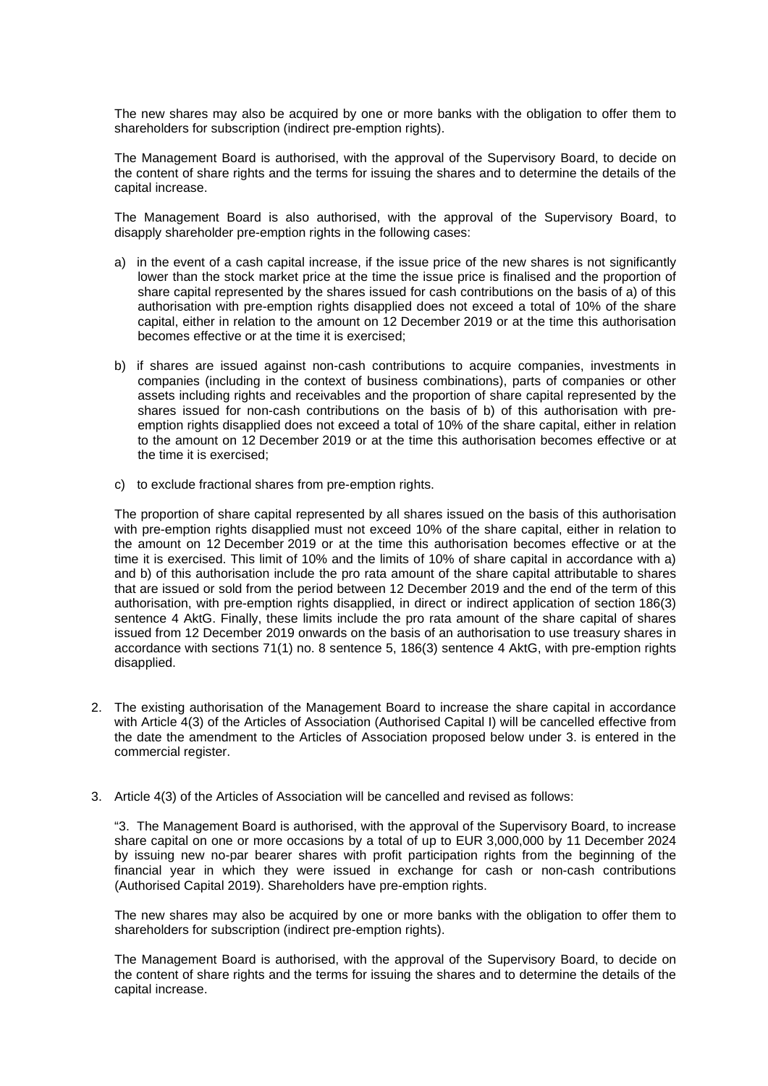The new shares may also be acquired by one or more banks with the obligation to offer them to shareholders for subscription (indirect pre-emption rights).

The Management Board is authorised, with the approval of the Supervisory Board, to decide on the content of share rights and the terms for issuing the shares and to determine the details of the capital increase.

The Management Board is also authorised, with the approval of the Supervisory Board, to disapply shareholder pre-emption rights in the following cases:

- a) in the event of a cash capital increase, if the issue price of the new shares is not significantly lower than the stock market price at the time the issue price is finalised and the proportion of share capital represented by the shares issued for cash contributions on the basis of a) of this authorisation with pre-emption rights disapplied does not exceed a total of 10% of the share capital, either in relation to the amount on 12 December 2019 or at the time this authorisation becomes effective or at the time it is exercised;
- b) if shares are issued against non-cash contributions to acquire companies, investments in companies (including in the context of business combinations), parts of companies or other assets including rights and receivables and the proportion of share capital represented by the shares issued for non-cash contributions on the basis of b) of this authorisation with preemption rights disapplied does not exceed a total of 10% of the share capital, either in relation to the amount on 12 December 2019 or at the time this authorisation becomes effective or at the time it is exercised;
- c) to exclude fractional shares from pre-emption rights.

The proportion of share capital represented by all shares issued on the basis of this authorisation with pre-emption rights disapplied must not exceed 10% of the share capital, either in relation to the amount on 12 December 2019 or at the time this authorisation becomes effective or at the time it is exercised. This limit of 10% and the limits of 10% of share capital in accordance with a) and b) of this authorisation include the pro rata amount of the share capital attributable to shares that are issued or sold from the period between 12 December 2019 and the end of the term of this authorisation, with pre-emption rights disapplied, in direct or indirect application of section 186(3) sentence 4 AktG. Finally, these limits include the pro rata amount of the share capital of shares issued from 12 December 2019 onwards on the basis of an authorisation to use treasury shares in accordance with sections 71(1) no. 8 sentence 5, 186(3) sentence 4 AktG, with pre-emption rights disapplied.

- 2. The existing authorisation of the Management Board to increase the share capital in accordance with Article 4(3) of the Articles of Association (Authorised Capital I) will be cancelled effective from the date the amendment to the Articles of Association proposed below under 3. is entered in the commercial register.
- 3. Article 4(3) of the Articles of Association will be cancelled and revised as follows:

"3. The Management Board is authorised, with the approval of the Supervisory Board, to increase share capital on one or more occasions by a total of up to EUR 3,000,000 by 11 December 2024 by issuing new no-par bearer shares with profit participation rights from the beginning of the financial year in which they were issued in exchange for cash or non-cash contributions (Authorised Capital 2019). Shareholders have pre-emption rights.

The new shares may also be acquired by one or more banks with the obligation to offer them to shareholders for subscription (indirect pre-emption rights).

The Management Board is authorised, with the approval of the Supervisory Board, to decide on the content of share rights and the terms for issuing the shares and to determine the details of the capital increase.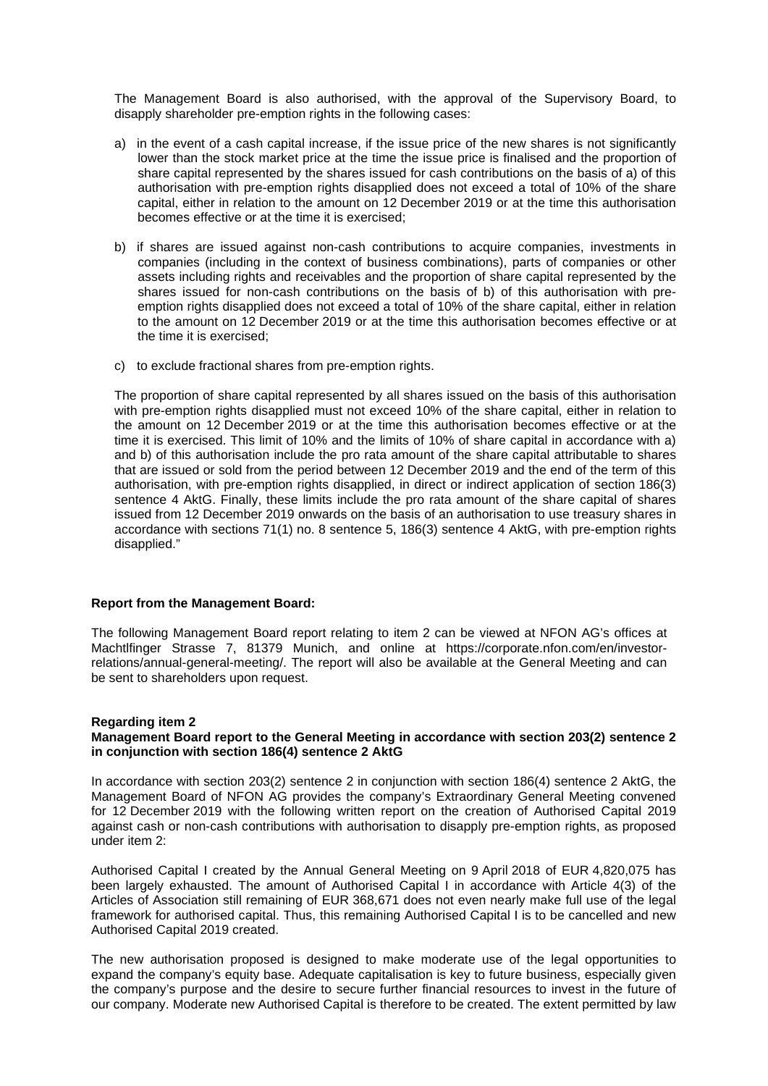The Management Board is also authorised, with the approval of the Supervisory Board, to disapply shareholder pre-emption rights in the following cases:

- a) in the event of a cash capital increase, if the issue price of the new shares is not significantly lower than the stock market price at the time the issue price is finalised and the proportion of share capital represented by the shares issued for cash contributions on the basis of a) of this authorisation with pre-emption rights disapplied does not exceed a total of 10% of the share capital, either in relation to the amount on 12 December 2019 or at the time this authorisation becomes effective or at the time it is exercised;
- b) if shares are issued against non-cash contributions to acquire companies, investments in companies (including in the context of business combinations), parts of companies or other assets including rights and receivables and the proportion of share capital represented by the shares issued for non-cash contributions on the basis of b) of this authorisation with preemption rights disapplied does not exceed a total of 10% of the share capital, either in relation to the amount on 12 December 2019 or at the time this authorisation becomes effective or at the time it is exercised;
- c) to exclude fractional shares from pre-emption rights.

The proportion of share capital represented by all shares issued on the basis of this authorisation with pre-emption rights disapplied must not exceed 10% of the share capital, either in relation to the amount on 12 December 2019 or at the time this authorisation becomes effective or at the time it is exercised. This limit of 10% and the limits of 10% of share capital in accordance with a) and b) of this authorisation include the pro rata amount of the share capital attributable to shares that are issued or sold from the period between 12 December 2019 and the end of the term of this authorisation, with pre-emption rights disapplied, in direct or indirect application of section 186(3) sentence 4 AktG. Finally, these limits include the pro rata amount of the share capital of shares issued from 12 December 2019 onwards on the basis of an authorisation to use treasury shares in accordance with sections 71(1) no. 8 sentence 5, 186(3) sentence 4 AktG, with pre-emption rights disapplied."

#### **Report from the Management Board:**

The following Management Board report relating to item 2 can be viewed at NFON AG's offices at Machtlfinger Strasse 7, 81379 Munich, and online at https://corporate.nfon.com/en/investorrelations/annual-general-meeting/. The report will also be available at the General Meeting and can be sent to shareholders upon request.

## **Regarding item 2**

### **Management Board report to the General Meeting in accordance with section 203(2) sentence 2 in conjunction with section 186(4) sentence 2 AktG**

In accordance with section 203(2) sentence 2 in conjunction with section 186(4) sentence 2 AktG, the Management Board of NFON AG provides the company's Extraordinary General Meeting convened for 12 December 2019 with the following written report on the creation of Authorised Capital 2019 against cash or non-cash contributions with authorisation to disapply pre-emption rights, as proposed under item 2:

Authorised Capital I created by the Annual General Meeting on 9 April 2018 of EUR 4,820,075 has been largely exhausted. The amount of Authorised Capital I in accordance with Article 4(3) of the Articles of Association still remaining of EUR 368,671 does not even nearly make full use of the legal framework for authorised capital. Thus, this remaining Authorised Capital I is to be cancelled and new Authorised Capital 2019 created.

The new authorisation proposed is designed to make moderate use of the legal opportunities to expand the company's equity base. Adequate capitalisation is key to future business, especially given the company's purpose and the desire to secure further financial resources to invest in the future of our company. Moderate new Authorised Capital is therefore to be created. The extent permitted by law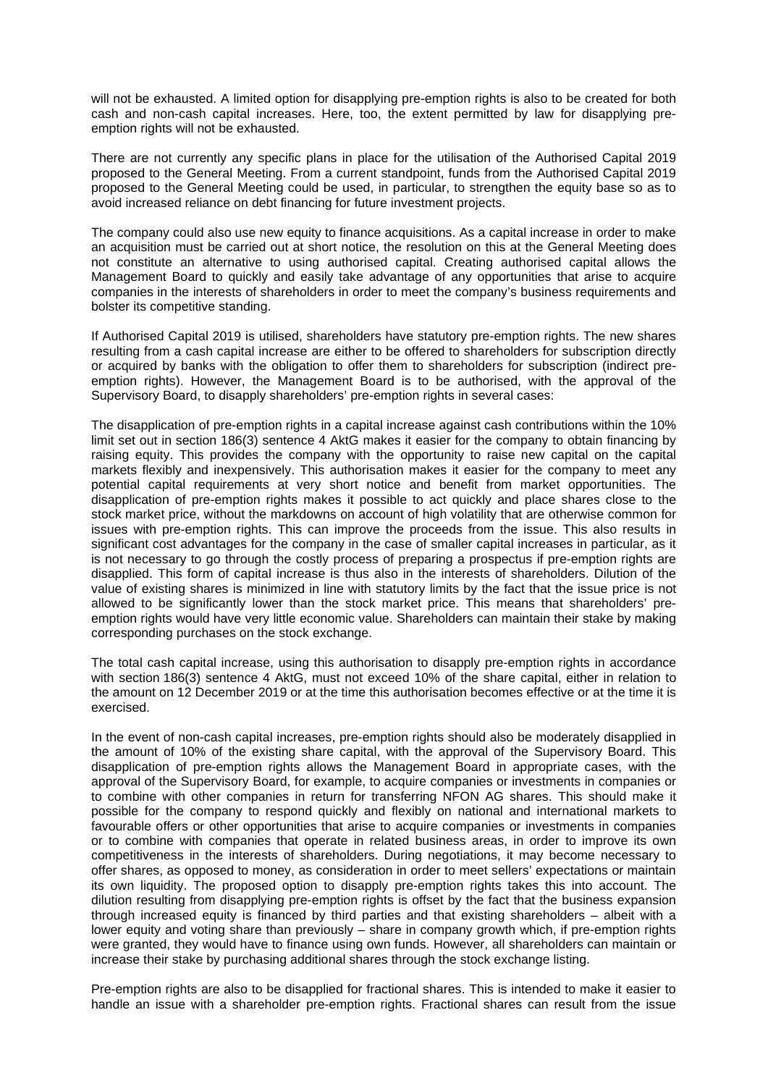will not be exhausted. A limited option for disapplying pre-emption rights is also to be created for both cash and non-cash capital increases. Here, too, the extent permitted by law for disapplying preemption rights will not be exhausted.

There are not currently any specific plans in place for the utilisation of the Authorised Capital 2019 proposed to the General Meeting. From a current standpoint, funds from the Authorised Capital 2019 proposed to the General Meeting could be used, in particular, to strengthen the equity base so as to avoid increased reliance on debt financing for future investment projects.

The company could also use new equity to finance acquisitions. As a capital increase in order to make an acquisition must be carried out at short notice, the resolution on this at the General Meeting does not constitute an alternative to using authorised capital. Creating authorised capital allows the Management Board to quickly and easily take advantage of any opportunities that arise to acquire companies in the interests of shareholders in order to meet the company's business requirements and bolster its competitive standing.

If Authorised Capital 2019 is utilised, shareholders have statutory pre-emption rights. The new shares resulting from a cash capital increase are either to be offered to shareholders for subscription directly or acquired by banks with the obligation to offer them to shareholders for subscription (indirect preemption rights). However, the Management Board is to be authorised, with the approval of the Supervisory Board, to disapply shareholders' pre-emption rights in several cases:

The disapplication of pre-emption rights in a capital increase against cash contributions within the 10% limit set out in section 186(3) sentence 4 AktG makes it easier for the company to obtain financing by raising equity. This provides the company with the opportunity to raise new capital on the capital markets flexibly and inexpensively. This authorisation makes it easier for the company to meet any potential capital requirements at very short notice and benefit from market opportunities. The disapplication of pre-emption rights makes it possible to act quickly and place shares close to the stock market price, without the markdowns on account of high volatility that are otherwise common for issues with pre-emption rights. This can improve the proceeds from the issue. This also results in significant cost advantages for the company in the case of smaller capital increases in particular, as it is not necessary to go through the costly process of preparing a prospectus if pre-emption rights are disapplied. This form of capital increase is thus also in the interests of shareholders. Dilution of the value of existing shares is minimized in line with statutory limits by the fact that the issue price is not allowed to be significantly lower than the stock market price. This means that shareholders' preemption rights would have very little economic value. Shareholders can maintain their stake by making corresponding purchases on the stock exchange.

The total cash capital increase, using this authorisation to disapply pre-emption rights in accordance with section 186(3) sentence 4 AktG, must not exceed 10% of the share capital, either in relation to the amount on 12 December 2019 or at the time this authorisation becomes effective or at the time it is exercised.

In the event of non-cash capital increases, pre-emption rights should also be moderately disapplied in the amount of 10% of the existing share capital, with the approval of the Supervisory Board. This disapplication of pre-emption rights allows the Management Board in appropriate cases, with the approval of the Supervisory Board, for example, to acquire companies or investments in companies or to combine with other companies in return for transferring NFON AG shares. This should make it possible for the company to respond quickly and flexibly on national and international markets to favourable offers or other opportunities that arise to acquire companies or investments in companies or to combine with companies that operate in related business areas, in order to improve its own competitiveness in the interests of shareholders. During negotiations, it may become necessary to offer shares, as opposed to money, as consideration in order to meet sellers' expectations or maintain its own liquidity. The proposed option to disapply pre-emption rights takes this into account. The dilution resulting from disapplying pre-emption rights is offset by the fact that the business expansion through increased equity is financed by third parties and that existing shareholders – albeit with a lower equity and voting share than previously – share in company growth which, if pre-emption rights were granted, they would have to finance using own funds. However, all shareholders can maintain or increase their stake by purchasing additional shares through the stock exchange listing.

Pre-emption rights are also to be disapplied for fractional shares. This is intended to make it easier to handle an issue with a shareholder pre-emption rights. Fractional shares can result from the issue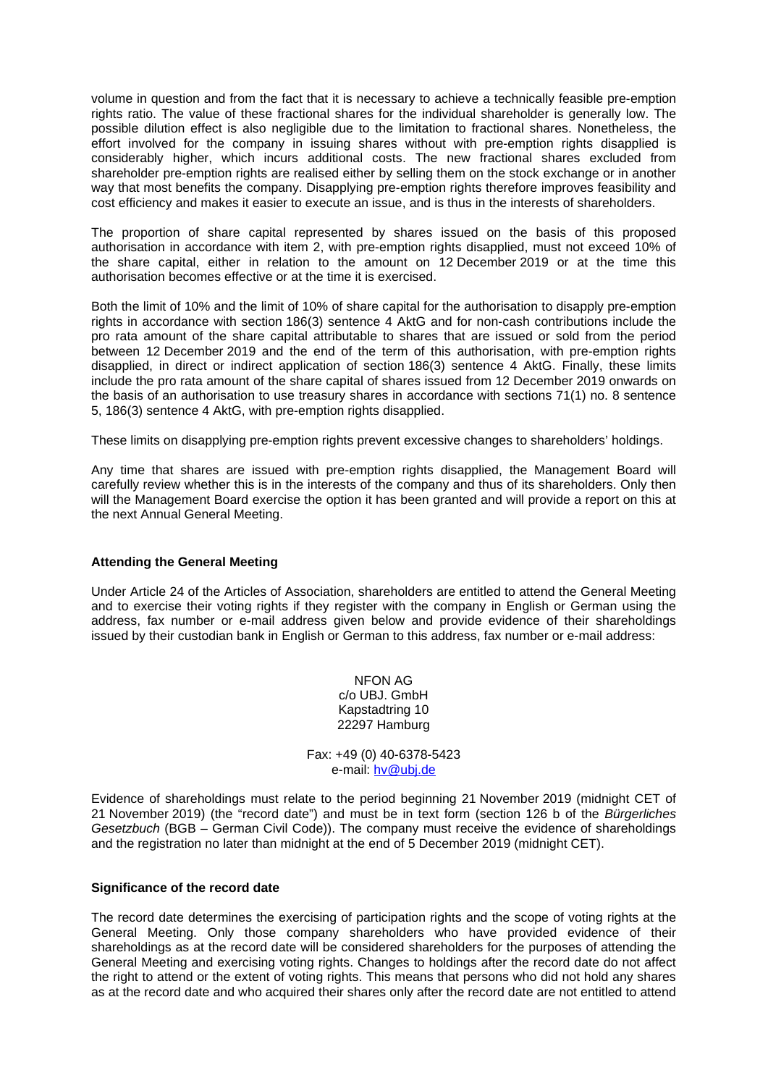volume in question and from the fact that it is necessary to achieve a technically feasible pre-emption rights ratio. The value of these fractional shares for the individual shareholder is generally low. The possible dilution effect is also negligible due to the limitation to fractional shares. Nonetheless, the effort involved for the company in issuing shares without with pre-emption rights disapplied is considerably higher, which incurs additional costs. The new fractional shares excluded from shareholder pre-emption rights are realised either by selling them on the stock exchange or in another way that most benefits the company. Disapplying pre-emption rights therefore improves feasibility and cost efficiency and makes it easier to execute an issue, and is thus in the interests of shareholders.

The proportion of share capital represented by shares issued on the basis of this proposed authorisation in accordance with item 2, with pre-emption rights disapplied, must not exceed 10% of the share capital, either in relation to the amount on 12 December 2019 or at the time this authorisation becomes effective or at the time it is exercised.

Both the limit of 10% and the limit of 10% of share capital for the authorisation to disapply pre-emption rights in accordance with section 186(3) sentence 4 AktG and for non-cash contributions include the pro rata amount of the share capital attributable to shares that are issued or sold from the period between 12 December 2019 and the end of the term of this authorisation, with pre-emption rights disapplied, in direct or indirect application of section 186(3) sentence 4 AktG. Finally, these limits include the pro rata amount of the share capital of shares issued from 12 December 2019 onwards on the basis of an authorisation to use treasury shares in accordance with sections 71(1) no. 8 sentence 5, 186(3) sentence 4 AktG, with pre-emption rights disapplied.

These limits on disapplying pre-emption rights prevent excessive changes to shareholders' holdings.

Any time that shares are issued with pre-emption rights disapplied, the Management Board will carefully review whether this is in the interests of the company and thus of its shareholders. Only then will the Management Board exercise the option it has been granted and will provide a report on this at the next Annual General Meeting.

## **Attending the General Meeting**

Under Article 24 of the Articles of Association, shareholders are entitled to attend the General Meeting and to exercise their voting rights if they register with the company in English or German using the address, fax number or e-mail address given below and provide evidence of their shareholdings issued by their custodian bank in English or German to this address, fax number or e-mail address:

> NFON AG c/o UBJ. GmbH Kapstadtring 10 22297 Hamburg

Fax: +49 (0) 40-6378-5423 e-mail: [hv@ubj.de](mailto:hv@ubj.de)

Evidence of shareholdings must relate to the period beginning 21 November 2019 (midnight CET of 21 November 2019) (the "record date") and must be in text form (section 126 b of the *Bürgerliches Gesetzbuch* (BGB – German Civil Code)). The company must receive the evidence of shareholdings and the registration no later than midnight at the end of 5 December 2019 (midnight CET).

### **Significance of the record date**

The record date determines the exercising of participation rights and the scope of voting rights at the General Meeting. Only those company shareholders who have provided evidence of their shareholdings as at the record date will be considered shareholders for the purposes of attending the General Meeting and exercising voting rights. Changes to holdings after the record date do not affect the right to attend or the extent of voting rights. This means that persons who did not hold any shares as at the record date and who acquired their shares only after the record date are not entitled to attend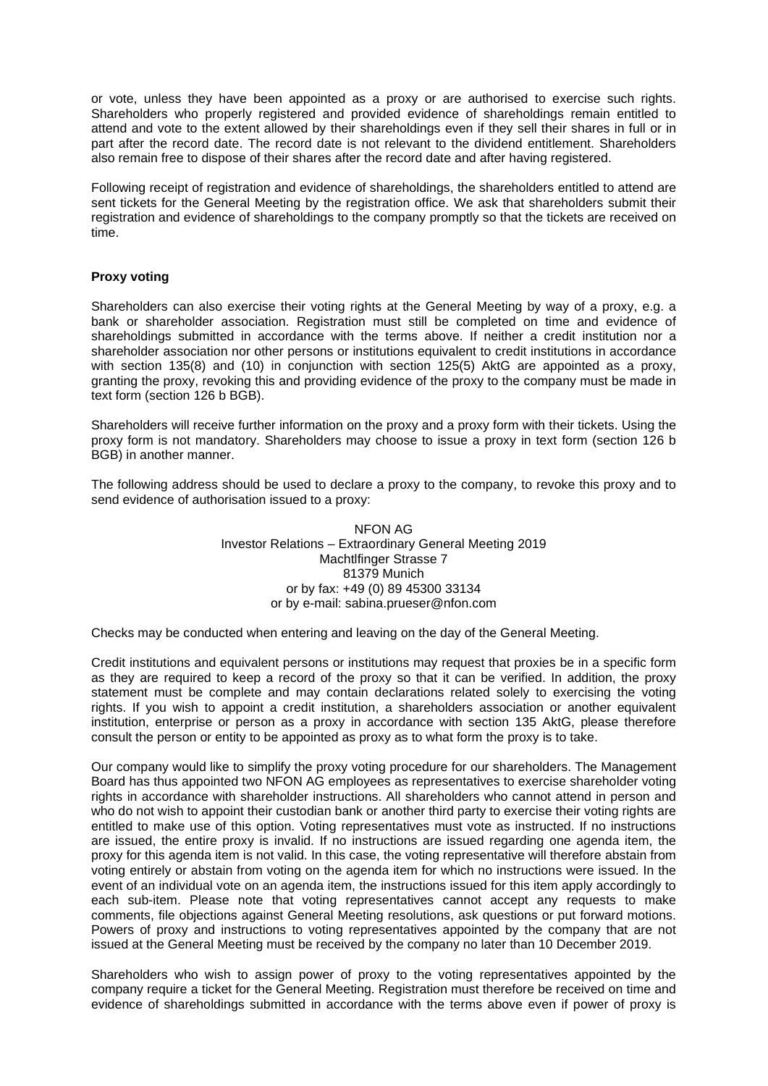or vote, unless they have been appointed as a proxy or are authorised to exercise such rights. Shareholders who properly registered and provided evidence of shareholdings remain entitled to attend and vote to the extent allowed by their shareholdings even if they sell their shares in full or in part after the record date. The record date is not relevant to the dividend entitlement. Shareholders also remain free to dispose of their shares after the record date and after having registered.

Following receipt of registration and evidence of shareholdings, the shareholders entitled to attend are sent tickets for the General Meeting by the registration office. We ask that shareholders submit their registration and evidence of shareholdings to the company promptly so that the tickets are received on time.

## **Proxy voting**

Shareholders can also exercise their voting rights at the General Meeting by way of a proxy, e.g. a bank or shareholder association. Registration must still be completed on time and evidence of shareholdings submitted in accordance with the terms above. If neither a credit institution nor a shareholder association nor other persons or institutions equivalent to credit institutions in accordance with section 135(8) and (10) in conjunction with section 125(5) AktG are appointed as a proxy, granting the proxy, revoking this and providing evidence of the proxy to the company must be made in text form (section 126 b BGB).

Shareholders will receive further information on the proxy and a proxy form with their tickets. Using the proxy form is not mandatory. Shareholders may choose to issue a proxy in text form (section 126 b BGB) in another manner.

The following address should be used to declare a proxy to the company, to revoke this proxy and to send evidence of authorisation issued to a proxy:

> NFON AG Investor Relations – Extraordinary General Meeting 2019 Machtlfinger Strasse 7 81379 Munich or by fax: +49 (0) 89 45300 33134 or by e-mail: sabina.prueser@nfon.com

Checks may be conducted when entering and leaving on the day of the General Meeting.

Credit institutions and equivalent persons or institutions may request that proxies be in a specific form as they are required to keep a record of the proxy so that it can be verified. In addition, the proxy statement must be complete and may contain declarations related solely to exercising the voting rights. If you wish to appoint a credit institution, a shareholders association or another equivalent institution, enterprise or person as a proxy in accordance with section 135 AktG, please therefore consult the person or entity to be appointed as proxy as to what form the proxy is to take.

Our company would like to simplify the proxy voting procedure for our shareholders. The Management Board has thus appointed two NFON AG employees as representatives to exercise shareholder voting rights in accordance with shareholder instructions. All shareholders who cannot attend in person and who do not wish to appoint their custodian bank or another third party to exercise their voting rights are entitled to make use of this option. Voting representatives must vote as instructed. If no instructions are issued, the entire proxy is invalid. If no instructions are issued regarding one agenda item, the proxy for this agenda item is not valid. In this case, the voting representative will therefore abstain from voting entirely or abstain from voting on the agenda item for which no instructions were issued. In the event of an individual vote on an agenda item, the instructions issued for this item apply accordingly to each sub-item. Please note that voting representatives cannot accept any requests to make comments, file objections against General Meeting resolutions, ask questions or put forward motions. Powers of proxy and instructions to voting representatives appointed by the company that are not issued at the General Meeting must be received by the company no later than 10 December 2019.

Shareholders who wish to assign power of proxy to the voting representatives appointed by the company require a ticket for the General Meeting. Registration must therefore be received on time and evidence of shareholdings submitted in accordance with the terms above even if power of proxy is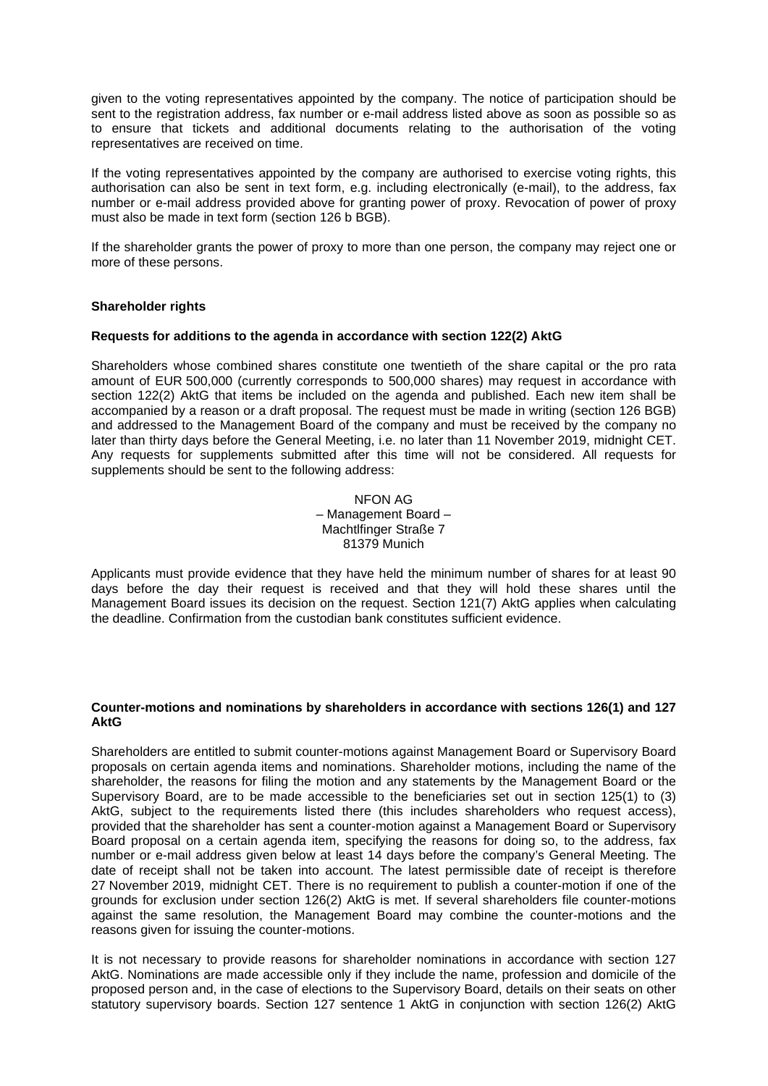given to the voting representatives appointed by the company. The notice of participation should be sent to the registration address, fax number or e-mail address listed above as soon as possible so as to ensure that tickets and additional documents relating to the authorisation of the voting representatives are received on time.

If the voting representatives appointed by the company are authorised to exercise voting rights, this authorisation can also be sent in text form, e.g. including electronically (e-mail), to the address, fax number or e-mail address provided above for granting power of proxy. Revocation of power of proxy must also be made in text form (section 126 b BGB).

If the shareholder grants the power of proxy to more than one person, the company may reject one or more of these persons.

### **Shareholder rights**

### **Requests for additions to the agenda in accordance with section 122(2) AktG**

Shareholders whose combined shares constitute one twentieth of the share capital or the pro rata amount of EUR 500,000 (currently corresponds to 500,000 shares) may request in accordance with section 122(2) AktG that items be included on the agenda and published. Each new item shall be accompanied by a reason or a draft proposal. The request must be made in writing (section 126 BGB) and addressed to the Management Board of the company and must be received by the company no later than thirty days before the General Meeting, i.e. no later than 11 November 2019, midnight CET. Any requests for supplements submitted after this time will not be considered. All requests for supplements should be sent to the following address:

## NFON AG – Management Board – Machtlfinger Straße 7 81379 Munich

Applicants must provide evidence that they have held the minimum number of shares for at least 90 days before the day their request is received and that they will hold these shares until the Management Board issues its decision on the request. Section 121(7) AktG applies when calculating the deadline. Confirmation from the custodian bank constitutes sufficient evidence.

#### **Counter-motions and nominations by shareholders in accordance with sections 126(1) and 127 AktG**

Shareholders are entitled to submit counter-motions against Management Board or Supervisory Board proposals on certain agenda items and nominations. Shareholder motions, including the name of the shareholder, the reasons for filing the motion and any statements by the Management Board or the Supervisory Board, are to be made accessible to the beneficiaries set out in section 125(1) to (3) AktG, subject to the requirements listed there (this includes shareholders who request access), provided that the shareholder has sent a counter-motion against a Management Board or Supervisory Board proposal on a certain agenda item, specifying the reasons for doing so, to the address, fax number or e-mail address given below at least 14 days before the company's General Meeting. The date of receipt shall not be taken into account. The latest permissible date of receipt is therefore 27 November 2019, midnight CET. There is no requirement to publish a counter-motion if one of the grounds for exclusion under section 126(2) AktG is met. If several shareholders file counter-motions against the same resolution, the Management Board may combine the counter-motions and the reasons given for issuing the counter-motions.

It is not necessary to provide reasons for shareholder nominations in accordance with section 127 AktG. Nominations are made accessible only if they include the name, profession and domicile of the proposed person and, in the case of elections to the Supervisory Board, details on their seats on other statutory supervisory boards. Section 127 sentence 1 AktG in conjunction with section 126(2) AktG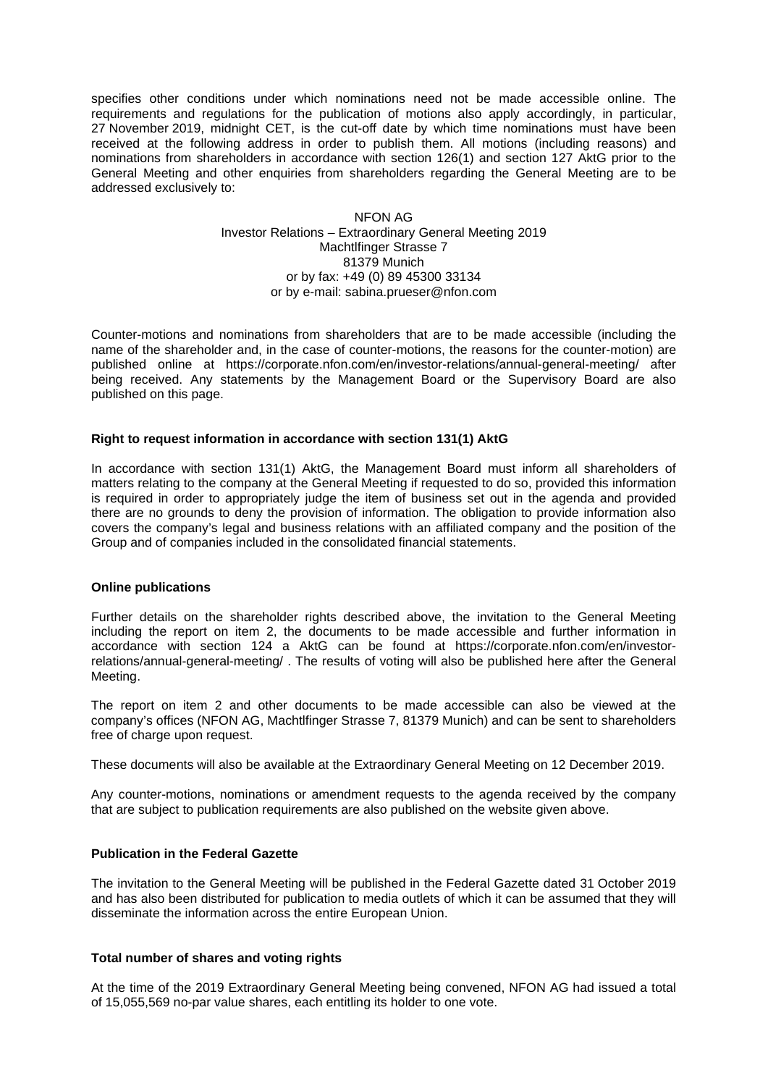specifies other conditions under which nominations need not be made accessible online. The requirements and regulations for the publication of motions also apply accordingly, in particular, 27 November 2019, midnight CET, is the cut-off date by which time nominations must have been received at the following address in order to publish them. All motions (including reasons) and nominations from shareholders in accordance with section 126(1) and section 127 AktG prior to the General Meeting and other enquiries from shareholders regarding the General Meeting are to be addressed exclusively to:

> NFON AG Investor Relations – Extraordinary General Meeting 2019 Machtlfinger Strasse 7 81379 Munich or by fax: +49 (0) 89 45300 33134 [or by e-mail: sabina.prueser@nfon.com](mailto:hv-2012@gigaset.com)

Counter-motions and nominations from shareholders that are to be made accessible (including the name of the shareholder and, in the case of counter-motions, the reasons for the counter-motion) are published online at https://corporate.nfon.com/en/investor-relations/annual-general-meeting/ after being received. Any statements by the Management Board or the Supervisory Board are also published on this page.

### **Right to request information in accordance with section 131(1) AktG**

In accordance with section 131(1) AktG, the Management Board must inform all shareholders of matters relating to the company at the General Meeting if requested to do so, provided this information is required in order to appropriately judge the item of business set out in the agenda and provided there are no grounds to deny the provision of information. The obligation to provide information also covers the company's legal and business relations with an affiliated company and the position of the Group and of companies included in the consolidated financial statements.

#### **Online publications**

Further details on the shareholder rights described above, the invitation to the General Meeting including the report on item 2, the documents to be made accessible and further information in accordance with section 124 a AktG can be found at https://corporate.nfon.com/en/investorrelations/annual-general-meeting/ . The results of voting will also be published here after the General Meeting.

The report on item 2 and other documents to be made accessible can also be viewed at the company's offices (NFON AG, Machtlfinger Strasse 7, 81379 Munich) and can be sent to shareholders free of charge upon request.

These documents will also be available at the Extraordinary General Meeting on 12 December 2019.

Any counter-motions, nominations or amendment requests to the agenda received by the company that are subject to publication requirements are also published on the website given above.

### **Publication in the Federal Gazette**

The invitation to the General Meeting will be published in the Federal Gazette dated 31 October 2019 and has also been distributed for publication to media outlets of which it can be assumed that they will disseminate the information across the entire European Union.

### **Total number of shares and voting rights**

At the time of the 2019 Extraordinary General Meeting being convened, NFON AG had issued a total of 15,055,569 no-par value shares, each entitling its holder to one vote.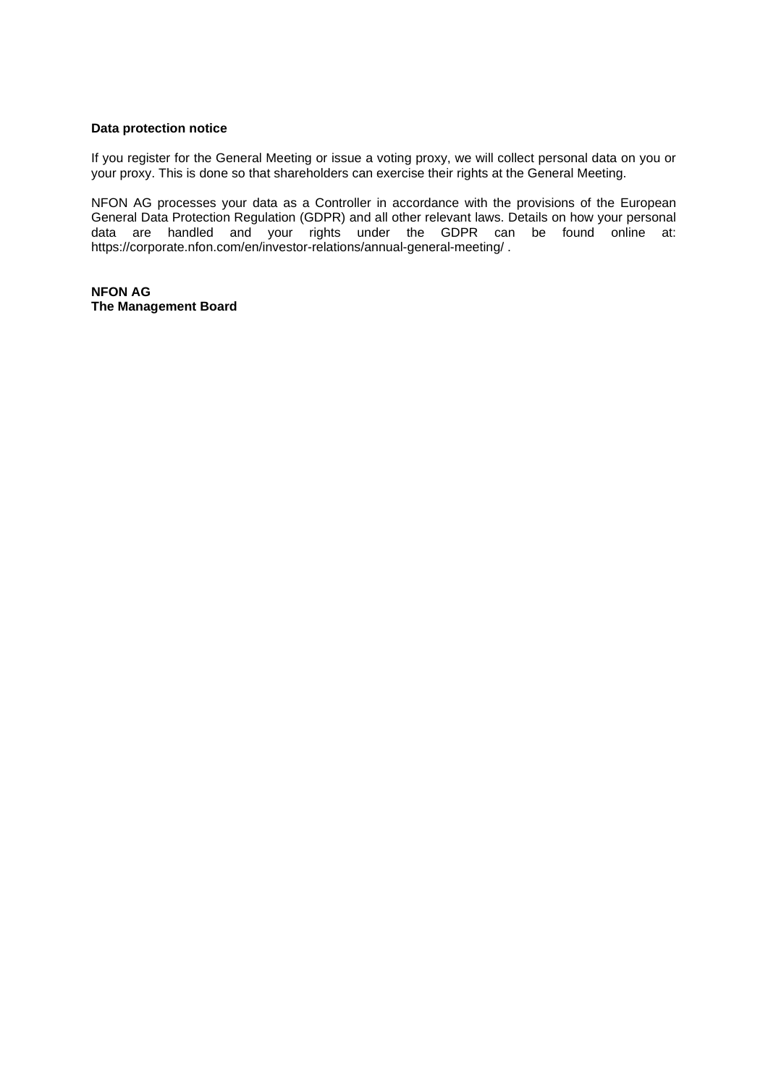## **Data protection notice**

If you register for the General Meeting or issue a voting proxy, we will collect personal data on you or your proxy. This is done so that shareholders can exercise their rights at the General Meeting.

NFON AG processes your data as a Controller in accordance with the provisions of the European General Data Protection Regulation (GDPR) and all other relevant laws. Details on how your personal data are handled and your rights under the GDPR can be found online at: https://corporate.nfon.com/en/investor-relations/annual-general-meeting/ .

**NFON AG The Management Board**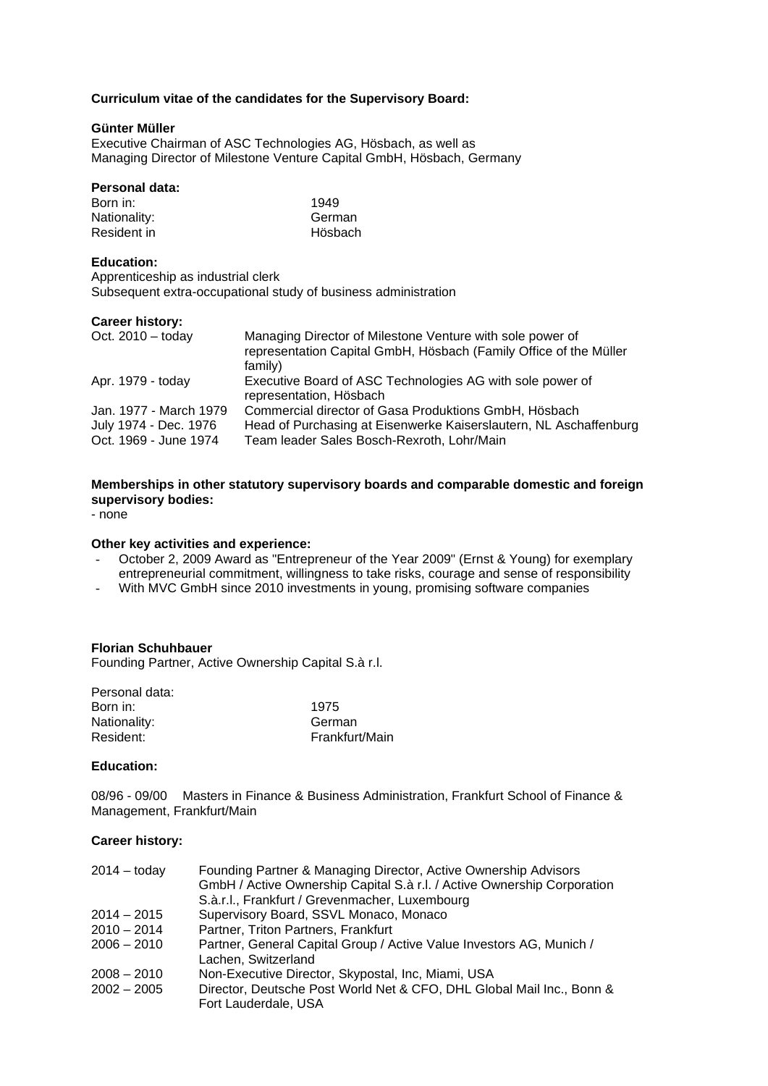## **Curriculum vitae of the candidates for the Supervisory Board:**

## **Günter Müller**

Executive Chairman of ASC Technologies AG, Hösbach, as well as Managing Director of Milestone Venture Capital GmbH, Hösbach, Germany

#### **Personal data:**

| Born in:     | 1949    |
|--------------|---------|
| Nationality: | German  |
| Resident in  | Hösbach |

### **Education:**

Apprenticeship as industrial clerk Subsequent extra-occupational study of business administration

#### **Career history:**

| Managing Director of Milestone Venture with sole power of                            |
|--------------------------------------------------------------------------------------|
| representation Capital GmbH, Hösbach (Family Office of the Müller<br>family)         |
| Executive Board of ASC Technologies AG with sole power of<br>representation, Hösbach |
| Commercial director of Gasa Produktions GmbH, Hösbach                                |
| Head of Purchasing at Eisenwerke Kaiserslautern, NL Aschaffenburg                    |
| Team leader Sales Bosch-Rexroth, Lohr/Main                                           |
|                                                                                      |

### **Memberships in other statutory supervisory boards and comparable domestic and foreign supervisory bodies:**

- none

## **Other key activities and experience:**

- October 2, 2009 Award as "Entrepreneur of the Year 2009" (Ernst & Young) for exemplary entrepreneurial commitment, willingness to take risks, courage and sense of responsibility
- With MVC GmbH since 2010 investments in young, promising software companies

### **Florian Schuhbauer**

Founding Partner, Active Ownership Capital S.à r.l.

| Personal data: |                |
|----------------|----------------|
| Born in:       | 1975           |
| Nationality:   | German         |
| Resident:      | Frankfurt/Main |
|                |                |

#### **Education:**

08/96 - 09/00 Masters in Finance & Business Administration, Frankfurt School of Finance & Management, Frankfurt/Main

## **Career history:**

| $2014 -$ today | Founding Partner & Managing Director, Active Ownership Advisors<br>GmbH / Active Ownership Capital S.à r.l. / Active Ownership Corporation<br>S.à.r.l., Frankfurt / Grevenmacher, Luxembourg |
|----------------|----------------------------------------------------------------------------------------------------------------------------------------------------------------------------------------------|
|                |                                                                                                                                                                                              |
| $2014 - 2015$  | Supervisory Board, SSVL Monaco, Monaco                                                                                                                                                       |
| $2010 - 2014$  | Partner, Triton Partners, Frankfurt                                                                                                                                                          |
| $2006 - 2010$  | Partner, General Capital Group / Active Value Investors AG, Munich /<br>Lachen, Switzerland                                                                                                  |
| $2008 - 2010$  | Non-Executive Director, Skypostal, Inc, Miami, USA                                                                                                                                           |
| $2002 - 2005$  | Director, Deutsche Post World Net & CFO, DHL Global Mail Inc., Bonn &<br>Fort Lauderdale, USA                                                                                                |